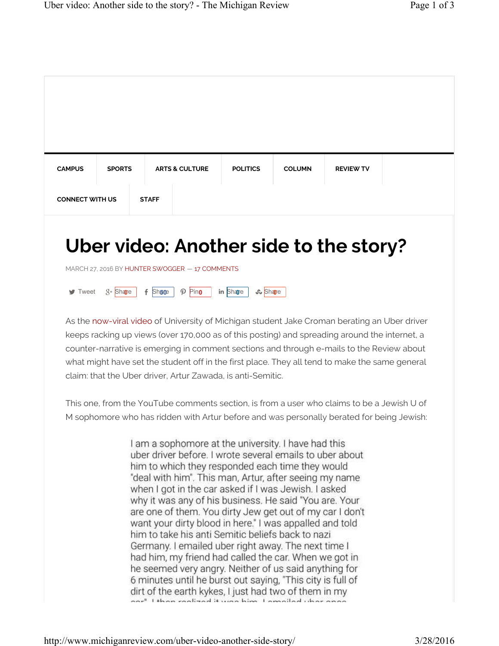| <b>CAMPUS</b>               | <b>SPORTS</b> | <b>ARTS &amp; CULTURE</b>                                                                                                                                                                                                                                                                                                                                                                                                                                                                                                                                                                                                                                                                                                                                                                                                   | <b>POLITICS</b>          | <b>COLUMN</b> | <b>REVIEW TV</b> |  |
|-----------------------------|---------------|-----------------------------------------------------------------------------------------------------------------------------------------------------------------------------------------------------------------------------------------------------------------------------------------------------------------------------------------------------------------------------------------------------------------------------------------------------------------------------------------------------------------------------------------------------------------------------------------------------------------------------------------------------------------------------------------------------------------------------------------------------------------------------------------------------------------------------|--------------------------|---------------|------------------|--|
| <b>CONNECT WITH US</b>      |               | <b>STAFF</b>                                                                                                                                                                                                                                                                                                                                                                                                                                                                                                                                                                                                                                                                                                                                                                                                                |                          |               |                  |  |
| $\blacktriangleright$ Tweet | $8 +$ Share   | $f$ Shace<br>$\mathcal{P}$ Pino<br>As the now-viral video of University of Michigan student Jake Croman berating an Uber driver<br>keeps racking up views (over 170,000 as of this posting) and spreading around the internet, a<br>counter-narrative is emerging in comment sections and through e-mails to the Review about<br>what might have set the student off in the first place. They all tend to make the same general<br>claim: that the Uber driver, Artur Zawada, is anti-Semitic.                                                                                                                                                                                                                                                                                                                              | in Share<br><b>Share</b> |               |                  |  |
|                             |               | This one, from the YouTube comments section, is from a user who claims to be a Jewish U of<br>M sophomore who has ridden with Artur before and was personally berated for being Jewish:                                                                                                                                                                                                                                                                                                                                                                                                                                                                                                                                                                                                                                     |                          |               |                  |  |
|                             |               | I am a sophomore at the university. I have had this<br>uber driver before. I wrote several emails to uber about<br>him to which they responded each time they would<br>"deal with him". This man, Artur, after seeing my name<br>when I got in the car asked if I was Jewish. I asked<br>why it was any of his business. He said "You are. Your<br>are one of them. You dirty Jew get out of my car I don't<br>want your dirty blood in here." I was appalled and told<br>him to take his anti Semitic beliefs back to nazi<br>Germany. I emailed uber right away. The next time I<br>had him, my friend had called the car. When we got in<br>he seemed very angry. Neither of us said anything for<br>6 minutes until he burst out saying, "This city is full of<br>dirt of the earth kykes. I just had two of them in my |                          |               |                  |  |

ant of the earth kykes, i just had two of them in my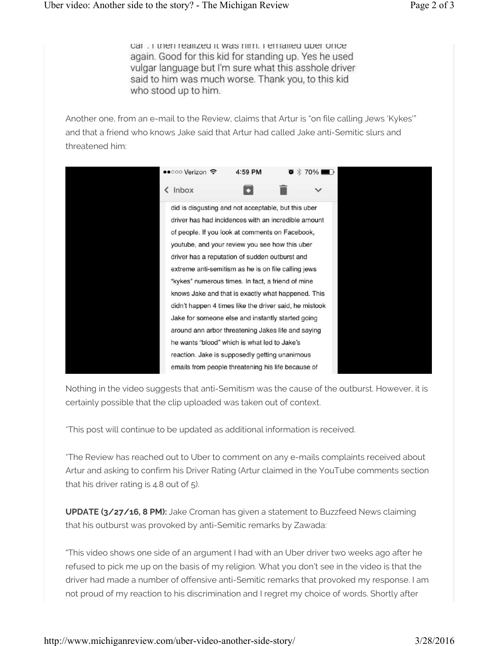car . I then realized it was nim. I emalied uper once again. Good for this kid for standing up. Yes he used vulgar language but I'm sure what this asshole driver said to him was much worse. Thank you, to this kid who stood up to him.

Another one, from an e-mail to the Review, claims that Artur is "on file calling Jews 'Kykes'" and that a friend who knows Jake said that Artur had called Jake anti-Semitic slurs and threatened him:



Nothing in the video suggests that anti-Semitism was the cause of the outburst. However, it is certainly possible that the clip uploaded was taken out of context.

\*This post will continue to be updated as additional information is received.

\*The Review has reached out to Uber to comment on any e-mails complaints received about Artur and asking to confirm his Driver Rating (Artur claimed in the YouTube comments section that his driver rating is 4.8 out of 5).

**UPDATE (3/27/16, 8 PM):** Jake Croman has given a statement to Buzzfeed News claiming that his outburst was provoked by anti-Semitic remarks by Zawada:

"This video shows one side of an argument I had with an Uber driver two weeks ago after he refused to pick me up on the basis of my religion. What you don't see in the video is that the driver had made a number of offensive anti-Semitic remarks that provoked my response. I am not proud of my reaction to his discrimination and I regret my choice of words. Shortly after